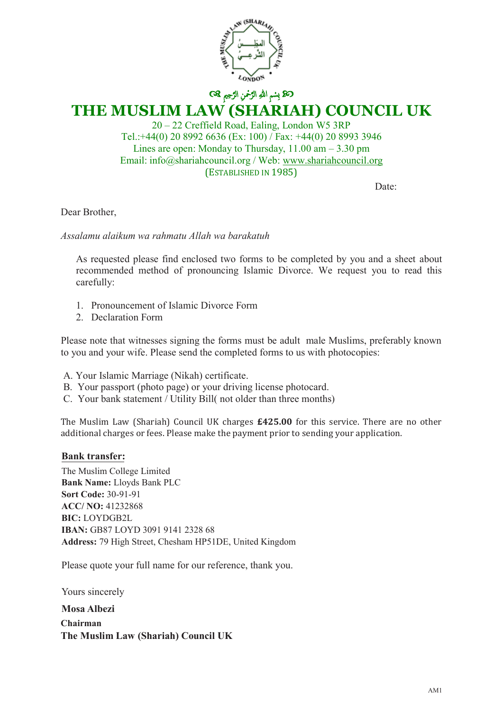

ك**ك**ا بِسْمِ اللهِ الرَّحْمنِ الرَّحِيمِ ۞ **THE MUSLIM LAW (SHARIAH) COUNCIL UK**

20 – 22 Creffield Road, Ealing, London W5 3RP Tel.:+44(0) 20 8992 6636 (Ex: 100) / Fax: +44(0) 20 8993 3946 Lines are open: Monday to Thursday,  $11.00 \text{ am} - 3.30 \text{ pm}$ Email: info@shariahcouncil.org / Web: www.shariahcouncil.org (ESTABLISHED IN 1985)

Date:

Dear Brother,

*Assalamu alaikum wa rahmatu Allah wa barakatuh* 

As requested please find enclosed two forms to be completed by you and a sheet about recommended method of pronouncing Islamic Divorce. We request you to read this carefully:

- 1. Pronouncement of Islamic Divorce Form
- 2. Declaration Form

Please note that witnesses signing the forms must be adult male Muslims, preferably known to you and your wife. Please send the completed forms to us with photocopies:

A. Your Islamic Marriage (Nikah) certificate.

- B. Your passport (photo page) or your driving license photocard.
- C. Your bank statement / Utility Bill( not older than three months)

The Muslim Law (Shariah) Council UK charges **£425.00** for this service. There are no other additional charges or fees. Please make the payment prior to sending your application.

#### **Bank transfer Bank transfer:**

**The Muslim College Limited**  $\frac{1}{1}$  D  $\frac{1}{1}$  D  $\frac{1}{1}$ **Bank Name:** Lloyds Bank PLC **Sort code: 30-90-89 Pay by cheque: Payable to 'The Muslim Law (Shariah) Council UK** Address: 79 High Street, Chesham HP51DE, United Kingdom **Sort Code:** 30-91-91 **ACC/ NO:** 41232868 **BIC:** LOYDGB2L **IBAN:** GB87 LOYD 3091 9141 2328 68

Please quote your full name for our reference, thank you.

**Mosa Albezi Chairman The Muslim Law (Shariah) Council UK** Yours sincerely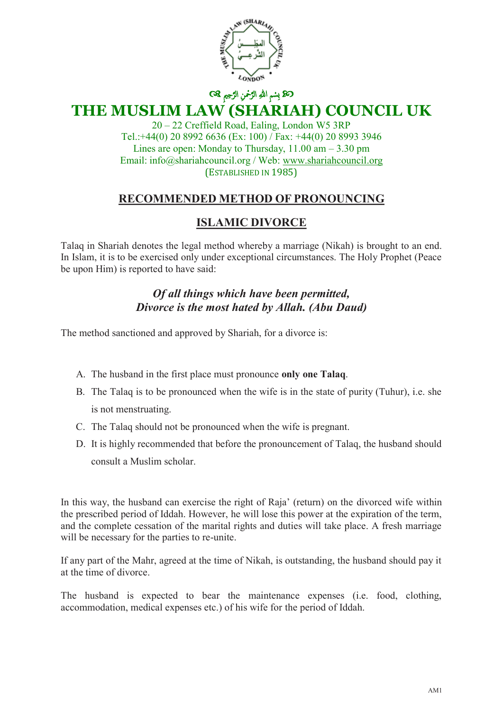

## ك**ك**ا بِسْمِ اللهِ الرَّحْمنِ الرَّحِيمِ ۞ **THE MUSLIM LAW (SHARIAH) COUNCIL UK**

20 – 22 Creffield Road, Ealing, London W5 3RP Tel.:+44(0) 20 8992 6636 (Ex: 100) / Fax: +44(0) 20 8993 3946 Lines are open: Monday to Thursday,  $11.00 \text{ am} - 3.30 \text{ pm}$ Email: info@shariahcouncil.org / Web: www.shariahcouncil.org (ESTABLISHED IN 1985)

#### **RECOMMENDED METHOD OF PRONOUNCING**

#### **ISLAMIC DIVORCE**

Talaq in Shariah denotes the legal method whereby a marriage (Nikah) is brought to an end. In Islam, it is to be exercised only under exceptional circumstances. The Holy Prophet (Peace be upon Him) is reported to have said:

#### *Of all things which have been permitted, Divorce is the most hated by Allah. (Abu Daud)*

The method sanctioned and approved by Shariah, for a divorce is:

- A. The husband in the first place must pronounce **only one Talaq**.
- B. The Talaq is to be pronounced when the wife is in the state of purity (Tuhur), i.e. she is not menstruating.
- C. The Talaq should not be pronounced when the wife is pregnant.
- D. It is highly recommended that before the pronouncement of Talaq, the husband should consult a Muslim scholar.

In this way, the husband can exercise the right of Raja' (return) on the divorced wife within the prescribed period of Iddah. However, he will lose this power at the expiration of the term, and the complete cessation of the marital rights and duties will take place. A fresh marriage will be necessary for the parties to re-unite.

If any part of the Mahr, agreed at the time of Nikah, is outstanding, the husband should pay it at the time of divorce.

The husband is expected to bear the maintenance expenses (i.e. food, clothing, accommodation, medical expenses etc.) of his wife for the period of Iddah.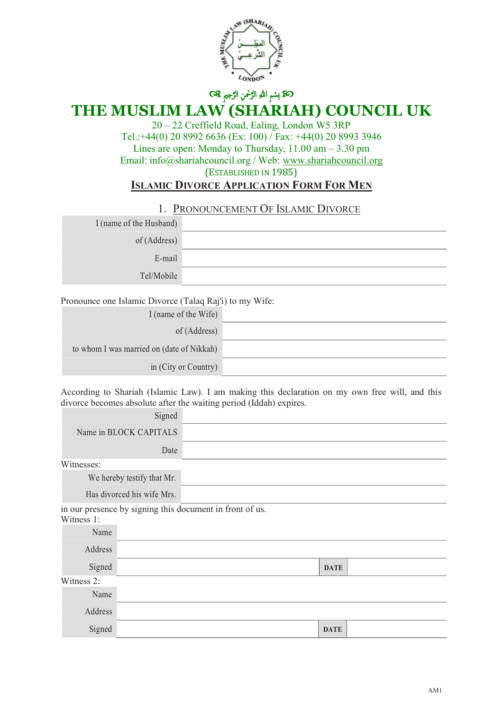

ك**ك**ا بِسْمِ اللهِ الرَّحْمنِ الرَّحِيمِ ۞

# **THE MUSLIM LAW (SHARIAH) COUNCIL UK**

20 – 22 Creffield Road, Ealing, London W5 3RP Tel.:+44(0) 20 8992 6636 (Ex: 100) / Fax: +44(0) 20 8993 3946 Lines are open: Monday to Thursday, 11.00 am – 3.30 pm Email: info@shariahcouncil.org / Web: www.shariahcouncil.org (ESTABLISHED IN 1985) **ISLAMIC DIVORCE APPLICATION FORM FOR MEN**

#### 1. PRONOUNCEMENT OF ISLAMIC DIVORCE

| I (name of the Husband) |  |
|-------------------------|--|
| of (Address)            |  |
| E-mail                  |  |
| Tel/Mobile              |  |

Pronounce one Islamic Divorce (Talaq Raj'i) to my Wife:

| I (name of the Wife)                      |  |
|-------------------------------------------|--|
| of (Address)                              |  |
| to whom I was married on (date of Nikkah) |  |
| in (City or Country)                      |  |

According to Shariah (Islamic Law). I am making this declaration on my own free will, and this divorce becomes absolute after the waiting period (Iddah) expires.

|            | Signed                     |                                                          |             |  |
|------------|----------------------------|----------------------------------------------------------|-------------|--|
|            | Name in BLOCK CAPITALS     |                                                          |             |  |
|            | Date                       |                                                          |             |  |
| Witnesses: |                            |                                                          |             |  |
|            | We hereby testify that Mr. |                                                          |             |  |
|            | Has divorced his wife Mrs. |                                                          |             |  |
| Witness 1: |                            | in our presence by signing this document in front of us. |             |  |
| Name       |                            |                                                          |             |  |
| Address    |                            |                                                          |             |  |
| Signed     |                            |                                                          | <b>DATE</b> |  |
| Witness 2: |                            |                                                          |             |  |
| Name       |                            |                                                          |             |  |
| Address    |                            |                                                          |             |  |
| Signed     |                            |                                                          | <b>DATE</b> |  |